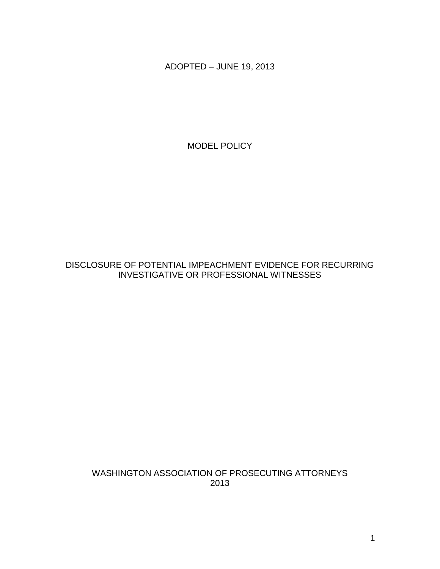ADOPTED – JUNE 19, 2013

MODEL POLICY

DISCLOSURE OF POTENTIAL IMPEACHMENT EVIDENCE FOR RECURRING INVESTIGATIVE OR PROFESSIONAL WITNESSES

WASHINGTON ASSOCIATION OF PROSECUTING ATTORNEYS 2013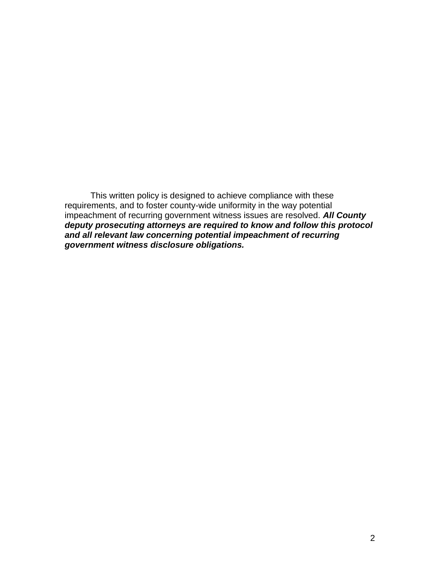This written policy is designed to achieve compliance with these requirements, and to foster county-wide uniformity in the way potential impeachment of recurring government witness issues are resolved. *All County deputy prosecuting attorneys are required to know and follow this protocol and all relevant law concerning potential impeachment of recurring government witness disclosure obligations.*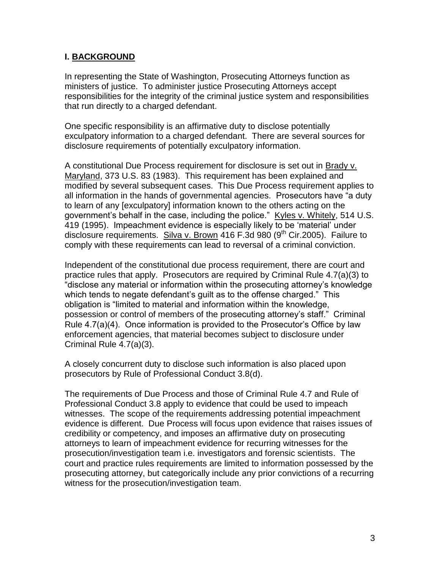### **I. BACKGROUND**

In representing the State of Washington, Prosecuting Attorneys function as ministers of justice. To administer justice Prosecuting Attorneys accept responsibilities for the integrity of the criminal justice system and responsibilities that run directly to a charged defendant.

One specific responsibility is an affirmative duty to disclose potentially exculpatory information to a charged defendant. There are several sources for disclosure requirements of potentially exculpatory information.

A constitutional Due Process requirement for disclosure is set out in Brady v. Maryland, 373 U.S. 83 (1983). This requirement has been explained and modified by several subsequent cases. This Due Process requirement applies to all information in the hands of governmental agencies. Prosecutors have "a duty to learn of any [exculpatory] information known to the others acting on the government's behalf in the case, including the police." Kyles v. Whitely, 514 U.S. 419 (1995). Impeachment evidence is especially likely to be 'material' under disclosure requirements. Silva v. Brown 416 F.3d 980 (9<sup>th</sup> Cir.2005). Failure to comply with these requirements can lead to reversal of a criminal conviction.

Independent of the constitutional due process requirement, there are court and practice rules that apply. Prosecutors are required by Criminal Rule 4.7(a)(3) to "disclose any material or information within the prosecuting attorney's knowledge which tends to negate defendant's guilt as to the offense charged." This obligation is "limited to material and information within the knowledge, possession or control of members of the prosecuting attorney's staff." Criminal Rule 4.7(a)(4). Once information is provided to the Prosecutor's Office by law enforcement agencies, that material becomes subject to disclosure under Criminal Rule 4.7(a)(3).

A closely concurrent duty to disclose such information is also placed upon prosecutors by Rule of Professional Conduct 3.8(d).

The requirements of Due Process and those of Criminal Rule 4.7 and Rule of Professional Conduct 3.8 apply to evidence that could be used to impeach witnesses. The scope of the requirements addressing potential impeachment evidence is different. Due Process will focus upon evidence that raises issues of credibility or competency, and imposes an affirmative duty on prosecuting attorneys to learn of impeachment evidence for recurring witnesses for the prosecution/investigation team i.e. investigators and forensic scientists. The court and practice rules requirements are limited to information possessed by the prosecuting attorney, but categorically include any prior convictions of a recurring witness for the prosecution/investigation team.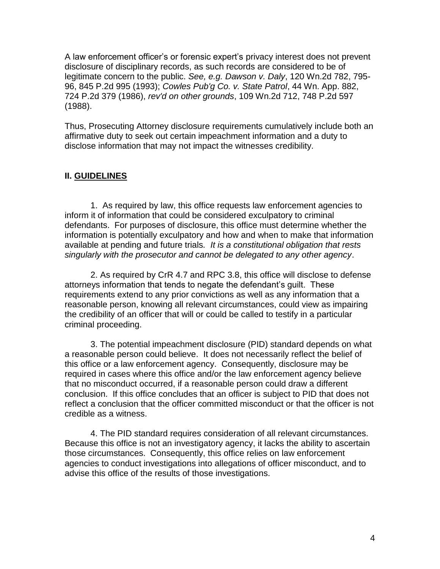A law enforcement officer's or forensic expert's privacy interest does not prevent disclosure of disciplinary records, as such records are considered to be of legitimate concern to the public. *See, e.g. Dawson v. Daly*, 120 Wn.2d 782, 795- 96, 845 P.2d 995 (1993); *Cowles Pub'g Co. v. State Patrol*, 44 Wn. App. 882, 724 P.2d 379 (1986), *rev'd on other grounds*, 109 Wn.2d 712, 748 P.2d 597 (1988).

Thus, Prosecuting Attorney disclosure requirements cumulatively include both an affirmative duty to seek out certain impeachment information and a duty to disclose information that may not impact the witnesses credibility.

#### **II. GUIDELINES**

1. As required by law, this office requests law enforcement agencies to inform it of information that could be considered exculpatory to criminal defendants. For purposes of disclosure, this office must determine whether the information is potentially exculpatory and how and when to make that information available at pending and future trials*. It is a constitutional obligation that rests singularly with the prosecutor and cannot be delegated to any other agency*.

2. As required by CrR 4.7 and RPC 3.8, this office will disclose to defense attorneys information that tends to negate the defendant's guilt. These requirements extend to any prior convictions as well as any information that a reasonable person, knowing all relevant circumstances, could view as impairing the credibility of an officer that will or could be called to testify in a particular criminal proceeding.

3. The potential impeachment disclosure (PID) standard depends on what a reasonable person could believe. It does not necessarily reflect the belief of this office or a law enforcement agency. Consequently, disclosure may be required in cases where this office and/or the law enforcement agency believe that no misconduct occurred, if a reasonable person could draw a different conclusion. If this office concludes that an officer is subject to PID that does not reflect a conclusion that the officer committed misconduct or that the officer is not credible as a witness.

4. The PID standard requires consideration of all relevant circumstances. Because this office is not an investigatory agency, it lacks the ability to ascertain those circumstances. Consequently, this office relies on law enforcement agencies to conduct investigations into allegations of officer misconduct, and to advise this office of the results of those investigations.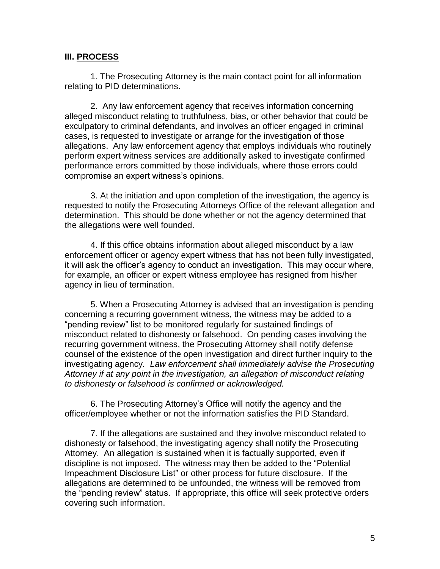#### **III. PROCESS**

1. The Prosecuting Attorney is the main contact point for all information relating to PID determinations.

2. Any law enforcement agency that receives information concerning alleged misconduct relating to truthfulness, bias, or other behavior that could be exculpatory to criminal defendants, and involves an officer engaged in criminal cases, is requested to investigate or arrange for the investigation of those allegations. Any law enforcement agency that employs individuals who routinely perform expert witness services are additionally asked to investigate confirmed performance errors committed by those individuals, where those errors could compromise an expert witness's opinions.

3. At the initiation and upon completion of the investigation, the agency is requested to notify the Prosecuting Attorneys Office of the relevant allegation and determination. This should be done whether or not the agency determined that the allegations were well founded.

4. If this office obtains information about alleged misconduct by a law enforcement officer or agency expert witness that has not been fully investigated, it will ask the officer's agency to conduct an investigation. This may occur where, for example, an officer or expert witness employee has resigned from his/her agency in lieu of termination.

5. When a Prosecuting Attorney is advised that an investigation is pending concerning a recurring government witness, the witness may be added to a "pending review" list to be monitored regularly for sustained findings of misconduct related to dishonesty or falsehood. On pending cases involving the recurring government witness, the Prosecuting Attorney shall notify defense counsel of the existence of the open investigation and direct further inquiry to the investigating agency*. Law enforcement shall immediately advise the Prosecuting Attorney if at any point in the investigation, an allegation of misconduct relating to dishonesty or falsehood is confirmed or acknowledged.*

6. The Prosecuting Attorney's Office will notify the agency and the officer/employee whether or not the information satisfies the PID Standard.

7. If the allegations are sustained and they involve misconduct related to dishonesty or falsehood, the investigating agency shall notify the Prosecuting Attorney. An allegation is sustained when it is factually supported, even if discipline is not imposed. The witness may then be added to the "Potential Impeachment Disclosure List" or other process for future disclosure. If the allegations are determined to be unfounded, the witness will be removed from the "pending review" status. If appropriate, this office will seek protective orders covering such information.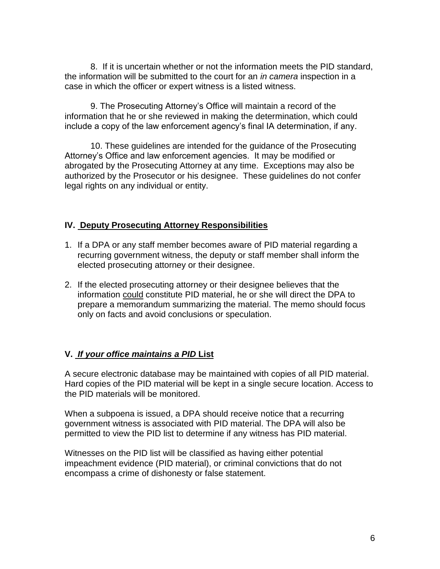8. If it is uncertain whether or not the information meets the PID standard, the information will be submitted to the court for an *in camera* inspection in a case in which the officer or expert witness is a listed witness.

9. The Prosecuting Attorney's Office will maintain a record of the information that he or she reviewed in making the determination, which could include a copy of the law enforcement agency's final IA determination, if any.

10. These guidelines are intended for the guidance of the Prosecuting Attorney's Office and law enforcement agencies. It may be modified or abrogated by the Prosecuting Attorney at any time. Exceptions may also be authorized by the Prosecutor or his designee. These guidelines do not confer legal rights on any individual or entity.

### **IV. Deputy Prosecuting Attorney Responsibilities**

- 1. If a DPA or any staff member becomes aware of PID material regarding a recurring government witness, the deputy or staff member shall inform the elected prosecuting attorney or their designee.
- 2. If the elected prosecuting attorney or their designee believes that the information could constitute PID material, he or she will direct the DPA to prepare a memorandum summarizing the material. The memo should focus only on facts and avoid conclusions or speculation.

## **V.** *If your office maintains a PID* **List**

A secure electronic database may be maintained with copies of all PID material. Hard copies of the PID material will be kept in a single secure location. Access to the PID materials will be monitored.

When a subpoena is issued, a DPA should receive notice that a recurring government witness is associated with PID material. The DPA will also be permitted to view the PID list to determine if any witness has PID material.

Witnesses on the PID list will be classified as having either potential impeachment evidence (PID material), or criminal convictions that do not encompass a crime of dishonesty or false statement.